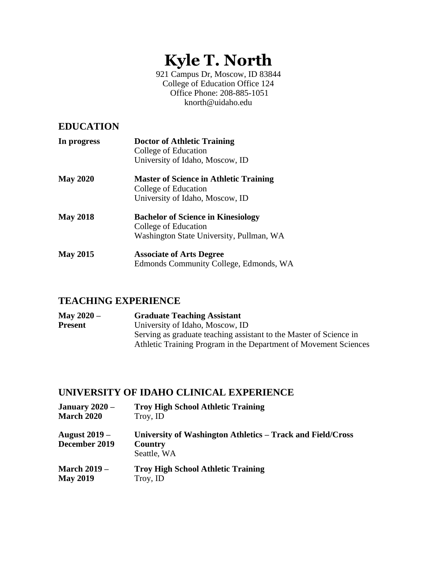# **Kyle T. North**

921 Campus Dr, Moscow, ID 83844 College of Education Office 124 Office Phone: 208-885-1051 knorth@uidaho.edu

### **EDUCATION**

| In progress     | <b>Doctor of Athletic Training</b><br>College of Education<br>University of Idaho, Moscow, ID                 |
|-----------------|---------------------------------------------------------------------------------------------------------------|
| <b>May 2020</b> | <b>Master of Science in Athletic Training</b><br>College of Education<br>University of Idaho, Moscow, ID      |
| <b>May 2018</b> | <b>Bachelor of Science in Kinesiology</b><br>College of Education<br>Washington State University, Pullman, WA |
| <b>May 2015</b> | <b>Associate of Arts Degree</b><br>Edmonds Community College, Edmonds, WA                                     |

### **TEACHING EXPERIENCE**

| <b>May 2020 –</b> | <b>Graduate Teaching Assistant</b>                                 |
|-------------------|--------------------------------------------------------------------|
| <b>Present</b>    | University of Idaho, Moscow, ID                                    |
|                   | Serving as graduate teaching assistant to the Master of Science in |
|                   | Athletic Training Program in the Department of Movement Sciences   |

## **UNIVERSITY OF IDAHO CLINICAL EXPERIENCE**

| January $2020 -$                      | <b>Troy High School Athletic Training</b>                                            |
|---------------------------------------|--------------------------------------------------------------------------------------|
| <b>March 2020</b>                     | Troy, ID                                                                             |
| <b>August 2019 –</b><br>December 2019 | University of Washington Athletics – Track and Field/Cross<br>Country<br>Seattle, WA |
| <b>March 2019 –</b>                   | <b>Troy High School Athletic Training</b>                                            |
| <b>May 2019</b>                       | Troy, ID                                                                             |